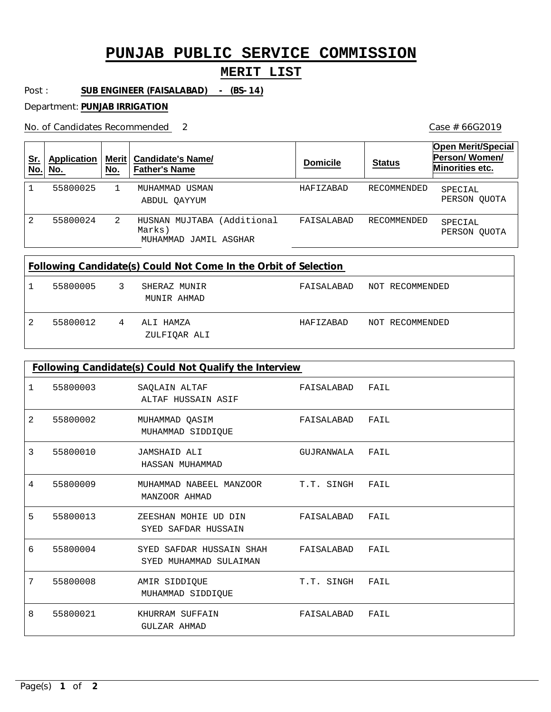## **PUNJAB PUBLIC SERVICE COMMISSION**

## **MERIT LIST**

Post : **SUB ENGINEER (FAISALABAD) - (BS-14)**

Department: **PUNJAB IRRIGATION**

No. of Candidates Recommended

| <u>Sr.</u><br>No.                                               | <b>Application</b><br>No. | Merit<br>No. | <b>Candidate's Name/</b><br><b>Father's Name</b>              | <b>Domicile</b> | <b>Status</b>   | <b>Open Merit/Special</b><br>Person/Women/<br>Minorities etc. |  |
|-----------------------------------------------------------------|---------------------------|--------------|---------------------------------------------------------------|-----------------|-----------------|---------------------------------------------------------------|--|
| $\mathbf 1$                                                     | 55800025                  | 1            | MUHAMMAD USMAN<br>ABDUL QAYYUM                                | HAFIZABAD       | RECOMMENDED     | SPECIAL<br>PERSON QUOTA                                       |  |
| 2                                                               | 55800024                  | 2            | HUSNAN MUJTABA (Additional<br>Marks)<br>MUHAMMAD JAMIL ASGHAR | FAISALABAD      | RECOMMENDED     | SPECIAL<br>PERSON OUOTA                                       |  |
| Following Candidate(s) Could Not Come In the Orbit of Selection |                           |              |                                                               |                 |                 |                                                               |  |
| 1                                                               | 55800005                  | 3            | SHERAZ MUNIR<br>MUNIR AHMAD                                   | FAISALABAD      | NOT RECOMMENDED |                                                               |  |
| 2                                                               | 55800012                  | 4            | ALI HAMZA<br>ZULFIOAR ALI                                     | HAFIZABAD       | NOT RECOMMENDED |                                                               |  |

| Following Candidate(s) Could Not Qualify the Interview |          |                                                       |            |      |  |  |
|--------------------------------------------------------|----------|-------------------------------------------------------|------------|------|--|--|
| 1                                                      | 55800003 | SAQLAIN ALTAF<br>ALTAF HUSSAIN ASIF                   | FAISALABAD | FAIL |  |  |
| $\overline{2}$                                         | 55800002 | MUHAMMAD OASIM<br>MUHAMMAD SIDDIQUE                   | FAISALABAD | FAIL |  |  |
| 3                                                      | 55800010 | <b>JAMSHAID ALI</b><br>HASSAN MUHAMMAD                | GUJRANWALA | FAIL |  |  |
| 4                                                      | 55800009 | MUHAMMAD NABEEL MANZOOR<br>MANZOOR AHMAD              | T.T. SINGH | FAIL |  |  |
| 5                                                      | 55800013 | ZEESHAN MOHIE UD DIN<br>SYED SAFDAR HUSSAIN           | FAISALABAD | FAIL |  |  |
| 6                                                      | 55800004 | SAFDAR HUSSAIN SHAH<br>SYED<br>SYED MUHAMMAD SULAIMAN | FAISALABAD | FAIL |  |  |
| 7                                                      | 55800008 | AMIR SIDDIQUE<br>MUHAMMAD SIDDIOUE                    | T.T. SINGH | FAIL |  |  |
| 8                                                      | 55800021 | KHURRAM SUFFAIN<br><b>GULZAR AHMAD</b>                | FAISALABAD | FAIL |  |  |

Case # 66G2019